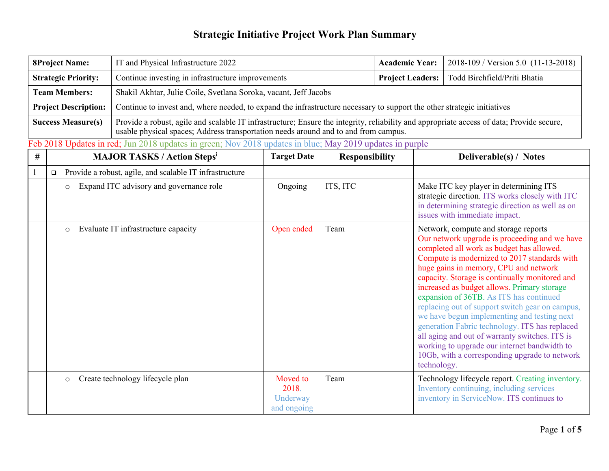| <b>8Project Name:</b>       |         | IT and Physical Infrastructure 2022                                                                                                                                                                                              |                                              | <b>Academic Year:</b>   | 2018-109 / Version 5.0 (11-13-2018) |                                                                                                                                                                                                                                                                                                                                                                                                                                                                                                                                                                                                                                                                                               |  |
|-----------------------------|---------|----------------------------------------------------------------------------------------------------------------------------------------------------------------------------------------------------------------------------------|----------------------------------------------|-------------------------|-------------------------------------|-----------------------------------------------------------------------------------------------------------------------------------------------------------------------------------------------------------------------------------------------------------------------------------------------------------------------------------------------------------------------------------------------------------------------------------------------------------------------------------------------------------------------------------------------------------------------------------------------------------------------------------------------------------------------------------------------|--|
| <b>Strategic Priority:</b>  |         | Continue investing in infrastructure improvements                                                                                                                                                                                |                                              | <b>Project Leaders:</b> | Todd Birchfield/Priti Bhatia        |                                                                                                                                                                                                                                                                                                                                                                                                                                                                                                                                                                                                                                                                                               |  |
| <b>Team Members:</b>        |         | Shakil Akhtar, Julie Coile, Svetlana Soroka, vacant, Jeff Jacobs                                                                                                                                                                 |                                              |                         |                                     |                                                                                                                                                                                                                                                                                                                                                                                                                                                                                                                                                                                                                                                                                               |  |
| <b>Project Description:</b> |         | Continue to invest and, where needed, to expand the infrastructure necessary to support the other strategic initiatives                                                                                                          |                                              |                         |                                     |                                                                                                                                                                                                                                                                                                                                                                                                                                                                                                                                                                                                                                                                                               |  |
| <b>Success Measure(s)</b>   |         | Provide a robust, agile and scalable IT infrastructure; Ensure the integrity, reliability and appropriate access of data; Provide secure,<br>usable physical spaces; Address transportation needs around and to and from campus. |                                              |                         |                                     |                                                                                                                                                                                                                                                                                                                                                                                                                                                                                                                                                                                                                                                                                               |  |
|                             |         | Feb 2018 Updates in red; Jun 2018 updates in green; Nov 2018 updates in blue; May 2019 updates in purple                                                                                                                         |                                              |                         |                                     |                                                                                                                                                                                                                                                                                                                                                                                                                                                                                                                                                                                                                                                                                               |  |
| $\#$                        |         | <b>MAJOR TASKS / Action Stepsi</b>                                                                                                                                                                                               | <b>Target Date</b>                           | <b>Responsibility</b>   |                                     | Deliverable(s) / Notes                                                                                                                                                                                                                                                                                                                                                                                                                                                                                                                                                                                                                                                                        |  |
|                             | $\Box$  | Provide a robust, agile, and scalable IT infrastructure                                                                                                                                                                          |                                              |                         |                                     |                                                                                                                                                                                                                                                                                                                                                                                                                                                                                                                                                                                                                                                                                               |  |
|                             | $\circ$ | Expand ITC advisory and governance role                                                                                                                                                                                          | Ongoing                                      | ITS, ITC                |                                     | Make ITC key player in determining ITS<br>strategic direction. ITS works closely with ITC<br>in determining strategic direction as well as on<br>issues with immediate impact.                                                                                                                                                                                                                                                                                                                                                                                                                                                                                                                |  |
|                             | $\circ$ | Evaluate IT infrastructure capacity                                                                                                                                                                                              | Open ended                                   | Team                    |                                     | Network, compute and storage reports<br>Our network upgrade is proceeding and we have<br>completed all work as budget has allowed.<br>Compute is modernized to 2017 standards with<br>huge gains in memory, CPU and network<br>capacity. Storage is continually monitored and<br>increased as budget allows. Primary storage<br>expansion of 36TB. As ITS has continued<br>replacing out of support switch gear on campus,<br>we have begun implementing and testing next<br>generation Fabric technology. ITS has replaced<br>all aging and out of warranty switches. ITS is<br>working to upgrade our internet bandwidth to<br>10Gb, with a corresponding upgrade to network<br>technology. |  |
|                             | $\circ$ | Create technology lifecycle plan                                                                                                                                                                                                 | Moved to<br>2018.<br>Underway<br>and ongoing | Team                    |                                     | Technology lifecycle report. Creating inventory.<br>Inventory continuing, including services<br>inventory in ServiceNow. ITS continues to                                                                                                                                                                                                                                                                                                                                                                                                                                                                                                                                                     |  |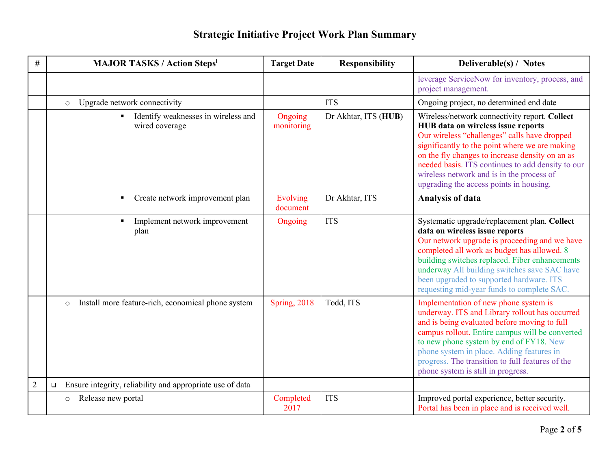| #              | <b>MAJOR TASKS / Action Stepsi</b>                                      | <b>Target Date</b>    | <b>Responsibility</b> | Deliverable(s) / Notes                                                                                                                                                                                                                                                                                                                                                                |
|----------------|-------------------------------------------------------------------------|-----------------------|-----------------------|---------------------------------------------------------------------------------------------------------------------------------------------------------------------------------------------------------------------------------------------------------------------------------------------------------------------------------------------------------------------------------------|
|                |                                                                         |                       |                       | leverage ServiceNow for inventory, process, and<br>project management.                                                                                                                                                                                                                                                                                                                |
|                | Upgrade network connectivity<br>$\circ$                                 |                       | <b>ITS</b>            | Ongoing project, no determined end date                                                                                                                                                                                                                                                                                                                                               |
|                | Identify weaknesses in wireless and<br>$\blacksquare$<br>wired coverage | Ongoing<br>monitoring | Dr Akhtar, ITS (HUB)  | Wireless/network connectivity report. Collect<br>HUB data on wireless issue reports<br>Our wireless "challenges" calls have dropped<br>significantly to the point where we are making<br>on the fly changes to increase density on an as<br>needed basis. ITS continues to add density to our<br>wireless network and is in the process of<br>upgrading the access points in housing. |
|                | Create network improvement plan<br>$\blacksquare$                       | Evolving<br>document  | Dr Akhtar, ITS        | <b>Analysis of data</b>                                                                                                                                                                                                                                                                                                                                                               |
|                | Implement network improvement<br>$\blacksquare$<br>plan                 | Ongoing               | <b>ITS</b>            | Systematic upgrade/replacement plan. Collect<br>data on wireless issue reports<br>Our network upgrade is proceeding and we have<br>completed all work as budget has allowed. 8<br>building switches replaced. Fiber enhancements<br>underway All building switches save SAC have<br>been upgraded to supported hardware. ITS<br>requesting mid-year funds to complete SAC.            |
|                | Install more feature-rich, economical phone system<br>$\circ$           | <b>Spring, 2018</b>   | Todd, ITS             | Implementation of new phone system is<br>underway. ITS and Library rollout has occurred<br>and is being evaluated before moving to full<br>campus rollout. Entire campus will be converted<br>to new phone system by end of FY18. New<br>phone system in place. Adding features in<br>progress. The transition to full features of the<br>phone system is still in progress.          |
| $\overline{2}$ | Ensure integrity, reliability and appropriate use of data<br>$\Box$     |                       |                       |                                                                                                                                                                                                                                                                                                                                                                                       |
|                | Release new portal<br>$\circ$                                           | Completed<br>2017     | <b>ITS</b>            | Improved portal experience, better security.<br>Portal has been in place and is received well.                                                                                                                                                                                                                                                                                        |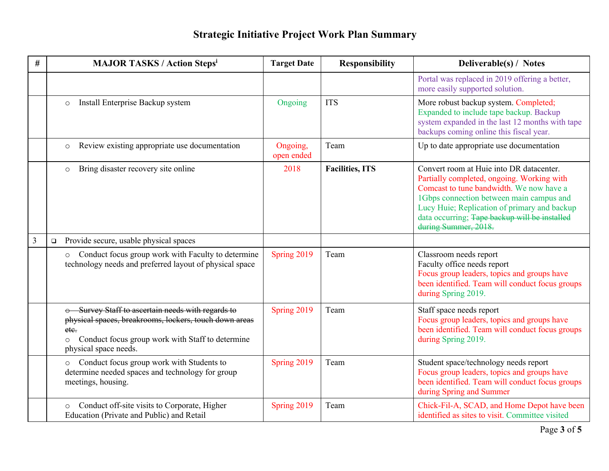| $^{\#}$ | <b>MAJOR TASKS / Action Stepsi</b>                                                                                                                                                                          | <b>Target Date</b>     | <b>Responsibility</b>   | Deliverable(s) / Notes                                                                                                                                                                                                                                                                                  |
|---------|-------------------------------------------------------------------------------------------------------------------------------------------------------------------------------------------------------------|------------------------|-------------------------|---------------------------------------------------------------------------------------------------------------------------------------------------------------------------------------------------------------------------------------------------------------------------------------------------------|
|         |                                                                                                                                                                                                             |                        |                         | Portal was replaced in 2019 offering a better,<br>more easily supported solution.                                                                                                                                                                                                                       |
|         | Install Enterprise Backup system<br>$\circ$                                                                                                                                                                 | Ongoing                | <b>ITS</b>              | More robust backup system. Completed;<br>Expanded to include tape backup. Backup<br>system expanded in the last 12 months with tape<br>backups coming online this fiscal year.                                                                                                                          |
|         | Review existing appropriate use documentation<br>$\circ$                                                                                                                                                    | Ongoing,<br>open ended | Team                    | Up to date appropriate use documentation                                                                                                                                                                                                                                                                |
|         | Bring disaster recovery site online<br>$\circ$                                                                                                                                                              | 2018                   | <b>Facilities</b> , ITS | Convert room at Huie into DR datacenter.<br>Partially completed, ongoing. Working with<br>Comcast to tune bandwidth. We now have a<br>1Gbps connection between main campus and<br>Lucy Huie; Replication of primary and backup<br>data occurring; Tape backup will be installed<br>during Summer, 2018. |
| 3       | Provide secure, usable physical spaces<br>$\Box$                                                                                                                                                            |                        |                         |                                                                                                                                                                                                                                                                                                         |
|         | Conduct focus group work with Faculty to determine<br>$\circ$<br>technology needs and preferred layout of physical space                                                                                    | Spring 2019            | Team                    | Classroom needs report<br>Faculty office needs report<br>Focus group leaders, topics and groups have<br>been identified. Team will conduct focus groups<br>during Spring 2019.                                                                                                                          |
|         | o Survey Staff to ascertain needs with regards to<br>physical spaces, breakrooms, lockers, touch down areas<br>ete.<br>Conduct focus group work with Staff to determine<br>$\circ$<br>physical space needs. | Spring 2019            | Team                    | Staff space needs report<br>Focus group leaders, topics and groups have<br>been identified. Team will conduct focus groups<br>during Spring 2019.                                                                                                                                                       |
|         | Conduct focus group work with Students to<br>$\circ$<br>determine needed spaces and technology for group<br>meetings, housing.                                                                              | Spring 2019            | Team                    | Student space/technology needs report<br>Focus group leaders, topics and groups have<br>been identified. Team will conduct focus groups<br>during Spring and Summer                                                                                                                                     |
|         | Conduct off-site visits to Corporate, Higher<br>$\circ$<br>Education (Private and Public) and Retail                                                                                                        | Spring 2019            | Team                    | Chick-Fil-A, SCAD, and Home Depot have been<br>identified as sites to visit. Committee visited                                                                                                                                                                                                          |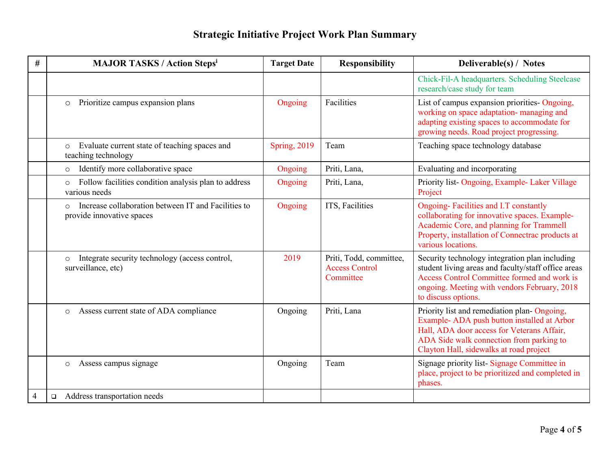| #              | <b>MAJOR TASKS / Action Stepsi</b>                                                          | <b>Target Date</b>  | <b>Responsibility</b>                                         | Deliverable(s) / Notes                                                                                                                                                                                                         |
|----------------|---------------------------------------------------------------------------------------------|---------------------|---------------------------------------------------------------|--------------------------------------------------------------------------------------------------------------------------------------------------------------------------------------------------------------------------------|
|                |                                                                                             |                     |                                                               | Chick-Fil-A headquarters. Scheduling Steelcase<br>research/case study for team                                                                                                                                                 |
|                | Prioritize campus expansion plans<br>$\circ$                                                | Ongoing             | Facilities                                                    | List of campus expansion priorities- Ongoing,<br>working on space adaptation- managing and<br>adapting existing spaces to accommodate for<br>growing needs. Road project progressing.                                          |
|                | Evaluate current state of teaching spaces and<br>$\circ$<br>teaching technology             | <b>Spring, 2019</b> | Team                                                          | Teaching space technology database                                                                                                                                                                                             |
|                | Identify more collaborative space<br>$\circ$                                                | Ongoing             | Priti, Lana,                                                  | Evaluating and incorporating                                                                                                                                                                                                   |
|                | Follow facilities condition analysis plan to address<br>$\circ$<br>various needs            | Ongoing             | Priti, Lana,                                                  | Priority list-Ongoing, Example- Laker Village<br>Project                                                                                                                                                                       |
|                | Increase collaboration between IT and Facilities to<br>$\circ$<br>provide innovative spaces | Ongoing             | ITS, Facilities                                               | Ongoing-Facilities and I.T constantly<br>collaborating for innovative spaces. Example-<br>Academic Core, and planning for Trammell<br>Property, installation of Connectrac products at<br>various locations.                   |
|                | Integrate security technology (access control,<br>$\circ$<br>surveillance, etc)             | 2019                | Priti, Todd, committee,<br><b>Access Control</b><br>Committee | Security technology integration plan including<br>student living areas and faculty/staff office areas<br>Access Control Committee formed and work is<br>ongoing. Meeting with vendors February, 2018<br>to discuss options.    |
|                | Assess current state of ADA compliance<br>$\circ$                                           | Ongoing             | Priti, Lana                                                   | Priority list and remediation plan-Ongoing,<br>Example-ADA push button installed at Arbor<br>Hall, ADA door access for Veterans Affair,<br>ADA Side walk connection from parking to<br>Clayton Hall, sidewalks at road project |
|                | Assess campus signage<br>$\circ$                                                            | Ongoing             | Team                                                          | Signage priority list-Signage Committee in<br>place, project to be prioritized and completed in<br>phases.                                                                                                                     |
| $\overline{4}$ | Address transportation needs<br>$\Box$                                                      |                     |                                                               |                                                                                                                                                                                                                                |